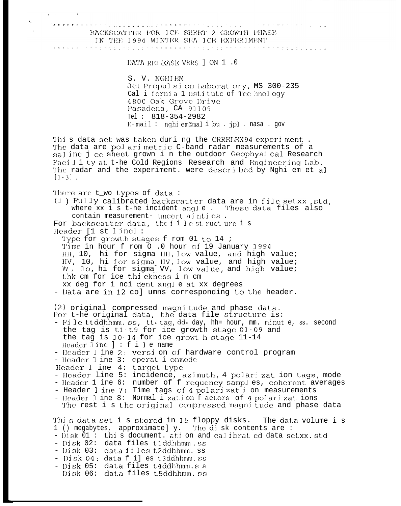te ele elle le BACKSCATTER FOR ICE SHEET 2 GROWTH PHASE IN THE 1994 WINTER SEA ICE EXPERIMENT

DATA RELEASE VERS ] ON 1 .0

S. V. NGHIEM Jet Propulsion Laborat ory, MS 300-235 Cal i fornia 1 nstitute of Technology 4800 Oak Grove Drive Pasadena, CA 91109 Tel:  $818 - 354 - 2982$ E-mail: nghi em@mali bu.jpl.nasa.gov

This data set was taken duri ng the CRRELEX94 experiment. The data are pol ari metric C-band radar measurements of a saline j ce sheet grown i n the outdoor Geophysical Research Facility at t-he Cold Regions Research and Engineering Lab. The radar and the experiment. were described by Nghi em et al  $[1-3]$ .

There are t\_wo types of data:

(1) Fully calibrated backscatter data are in file setxx std, where xx i s t-he incident angle. These data files also contain measurement- uncert ainties. For backscatter data, the filest ructure is

Header  $[1 \text{ st }]$  ine]:

Ä,

Type for growth stages f rom 01 to 14 ; Time in hour f rom O .0 hour of 19 January 1994 HH, 10, hi for sigma HH, low value, and high value; HV, 10, hi for sigma HV, low value, and high value; W. lo, hi for sigma VV, low value, and high value; thk cm for ice thickness i n cm xx deg for i nci dent angle at xx degrees

- Data are in 12 co] umns corresponding to the header.

(2) original compressed magnitude and phase data. For t-he original data, the data file structure is:

- File ttddhhmm.ss, tt= tag, dd= day, hh= hour, mm. minut e, ss. second the tag is t1-t9 for ice growth stage 01-09 and the tag is 10-14 for ice growt h stage 11-14 Header line  $] : f i]$  e name
- Header I ine 2: versi on of hardware control program
- Header I ine 3: operat i onmode
- Header 1 ine 4: target type
- 
- Header line 5: incidence, azimuth, 4 polarizat ion tags, mode<br>- Header 1 ine 6: number of f requency samples, coherent averages
- 
- Header line 7: Time tags of 4 polarization measurements<br>- Header line 8: Normal i zation f actors of 4 polarizations
- The rest i s the original compressed magnitude and phase data

This data set i s stored in 15 floppy disks. The data volume i s 1 () megabytes, approximate] y. The disk contents are:<br>- Disk 01: this document. ation and calibrat ed data setxx. std

- 
- Disk 02: data files t1ddhhmm.ss
- Disk 03: data files t2ddhhmm.ss
- Disk 04: data f i] es t3ddhhmm.ss
- Disk 05: data files t4ddhhmm.s s
- Disk 06: data files t5ddhhmm.ss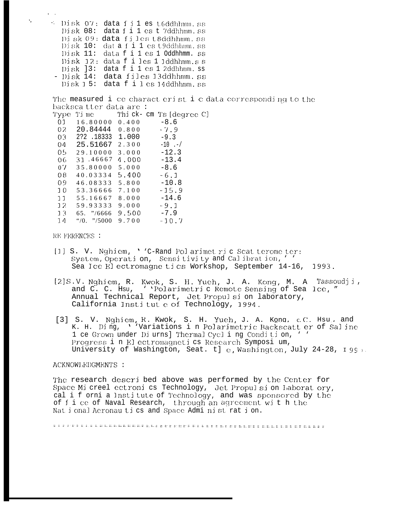4 Disk 07: data files t6ddhhmm.ss Disk 08: data f i 1 es t 7ddhhmm. ss Disk 09: data files t8ddhhmm.ss Disk 10: dat a f i 1 es t9ddhhmm.ss Disk 11: data f i 1 es 1 Oddhhmm. ss Disk 12: data f i les 1 1ddhhmm.s s Disk ]3: data f i 1 es 1 2ddhhmm.ss - Disk 14: data files 13ddhhmm.ss Disk 15: data f i les 14ddhhmm.ss

The measured i ce charact erist i c data corresponding to the backsca tter data are:

| l'ype.          | Ti me                                |       | Thi ck- cm Ts [degree C] |
|-----------------|--------------------------------------|-------|--------------------------|
| 01              | 16.80000                             | 0.400 | $-8.6$                   |
| 02.             | 20.84444                             | 0.800 | $-7.9$                   |
| 03 <sub>1</sub> | 2?2.18333                            | 1.000 | $-9.3$                   |
| 04              | 25.51667                             | 2.300 | $-10$ .-/                |
| 05.             | 29.10000                             | 3.000 | $-12.3$                  |
| 06.             | 31.46667                             | 4.000 | $-13.4$                  |
| 07              | 35.80000                             | 5.000 | $-8.6$                   |
| 08              | 40.03334                             | 5.400 | $-6.1$                   |
| 09              | 46.08333                             | 5.800 | $-10.8$                  |
| 10              | 53.36666                             | 7.100 | $-15.9$                  |
| 11              | 55.16667                             | 8.000 | -14.6                    |
| 12              | 59.93333                             | 9.000 | $-9.1$                   |
| 13              | 65. $\frac{7}{6666}$                 | 9.500 | $-7.9$                   |
| 14              | $\frac{100}{100}$ $\frac{1000}{100}$ | 9.700 | $-10.7$                  |
|                 |                                      |       |                          |

RE FERENCES :

- [1] S. V. Nghiem, ''C-Rand Polarimet ric Scat terome ter: System, Operation, Sensitivity and Calibration, '' Sea Ice El ectromagne tics Workshop, September 14-16, 1993.
- [2]S.V. Nghiem, R. Kwok, S. H. Yueh, J. A. Kong, M. A. Tassoudji, and C. C. Hsu, ''Polarimetric Remote Sensing of Sea lce, " Annual Technical Report, Jet Propulsi on laboratory, California Institute of Technology, 1994.
- [3] S. V. Nghiem, R. Kwok, S. H. Yueh, J. A. Kong, c.C. Hsu, and K. H. Ding, ''Variations in Polarimetric Backscatt er of Saline 1 ce Grown under Diurns] Thermal Cycling Condition, ' ' Progress i n El ectromagneti cs Research Symposi um, University of Washington, Seat. t] c. Washington, July 24-28, 199,

### ACKNOWLEDGMENTS :

The research descri bed above was performed by the Center for Space Mi creel ectroni cs Technology, Jet Propulsi on Laborat ory, cal i f orni a Institute of Technology, and was sponsored by the of f i ce of Naval Research, through an agreement with the Nat i onal Aeronau ti cs and Space Admi nist rat i on.

 $\mathcal{C}_{\mathcal{C}}$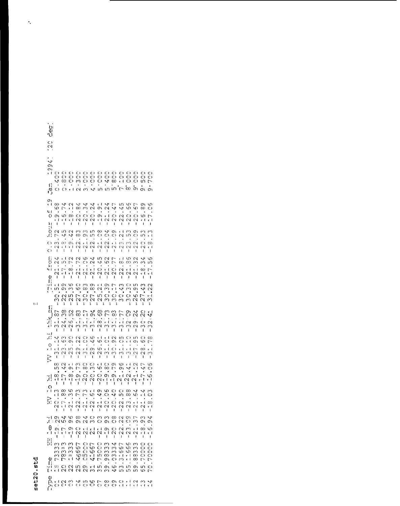### set20.std

| ່ຜູ້<br>ພ<br>U                                                                                                                                                                                                                                                                                                                                                                                                                                                                                                                                                                                                                                                                                                                                                                                                                                                                                                                                                                                                                                                                                                                                                                                                                                                                                                                                                                                                              |
|-----------------------------------------------------------------------------------------------------------------------------------------------------------------------------------------------------------------------------------------------------------------------------------------------------------------------------------------------------------------------------------------------------------------------------------------------------------------------------------------------------------------------------------------------------------------------------------------------------------------------------------------------------------------------------------------------------------------------------------------------------------------------------------------------------------------------------------------------------------------------------------------------------------------------------------------------------------------------------------------------------------------------------------------------------------------------------------------------------------------------------------------------------------------------------------------------------------------------------------------------------------------------------------------------------------------------------------------------------------------------------------------------------------------------------|
| C)<br>$\mathcal{C}$                                                                                                                                                                                                                                                                                                                                                                                                                                                                                                                                                                                                                                                                                                                                                                                                                                                                                                                                                                                                                                                                                                                                                                                                                                                                                                                                                                                                         |
| $\zeta$<br>O١<br>O)<br>r İ<br>C)<br>$\circ$<br>C)<br>C)<br>$\circ$<br>Ô<br>C)<br>0000<br>$O$ $O$ $O$<br>O<br>O<br>O<br>င္ပ<br>$\circ$<br>O<br>O<br>O<br>O<br>O<br>O<br>O<br>O<br>O<br>O<br>$\infty$<br>O<br>O<br>↵<br>∞<br>O<br>↵<br>$\epsilon$ +<br>ო<br>ഗ<br>冖<br>٢,<br>ı<br>$\bullet$<br>$\bullet$<br>٠<br>٠<br>ത് - സ് വ<br>ön ön<br>Ő<br>O<br>τł<br>$\sim$<br>↵<br>ഗ<br>υ,<br>ι<br>m<br>$\mathbf{O}$                                                                                                                                                                                                                                                                                                                                                                                                                                                                                                                                                                                                                                                                                                                                                                                                                                                                                                                                                                                                                   |
| Ο١<br>$\infty$<br>↵<br>$\mathbf{\Omega}$<br>$\mathcal{L}_{\mathcal{F}}$<br>$\vee$<br>4<br>r I<br>↵<br>m<br>w<br>٢ł<br>L,<br>r∼<br>o١<br>ഗ<br>↵<br>$\overline{\phantom{0}}$<br>r I<br>ω<br>س<br>$\sim$<br>O١<br>$\scriptstyle\sim$<br>₩<br>ω<br>ળ<br>∞<br>ယ<br>O<br>41<br>$\;$<br>$\cdot$<br>٠<br>$\cdot$<br>O<br>Ф<br>O<br>O<br>r I<br>O<br>$\mathcal{C}$<br>O<br>O١<br>လ<br>σ١<br>C)<br>O<br>ဖ<br>$\overline{ }$<br>¢Ι<br>τł<br>Ń<br>Ν<br>$\scriptstyle\sim$<br>r i<br>$\scriptstyle\sim$<br>$\mathcal{C}$<br>$\sim$<br>$\sim$<br>t١<br>$\scriptstyle\sim$<br>r I<br>r I<br>بالخ<br>أن<br>$\mathbf{I}$<br>L<br>$\mathbf{I}$<br>L<br>$\mathbf{I}$<br>L<br>1<br>f.<br>$\mathbf{I}$<br>L<br>$\mathbf{I}$<br>L<br>$\mathbf{I}$<br>L<br>О<br>$\mathbf{\hat{z}}$<br>ഗ<br>$\sim$<br>Õ<br>m<br>ເ∩<br>∞<br>J<br>σ١<br>$\infty$<br>r I<br>O١<br>ω<br>ω<br>C)<br>↵<br>، کہ<br>↵<br>∞<br>Ο١<br>ιn<br>C)<br>O<br>$\mathbf{\Omega}$<br>ιn<br>C)<br>ഗ<br>τI<br>$\cdot$<br>٠<br>C)<br>œ<br>O١<br>$\overline{\mathcal{C}}$<br>k ł<br>$\sim$<br>r t<br>$\sim$<br>C٢)<br>C)<br>$\cup$<br>١,<br>m<br>2<br>$\infty$<br>$\cdot$<br>$\sim$<br>N<br>cΙ<br>τł<br>$\scriptstyle\sim$<br>Ń<br>$\scriptstyle\sim$<br>$\scriptstyle\sim$<br>$\scriptstyle\sim$<br>٢N<br>N<br>$\scriptstyle\sim$<br>W<br>¢Ι<br>Ō<br>r<br>T.<br>- I<br>$\mathbf{I}$<br>ı<br>$\ddot{\phantom{0}}$<br>т<br>ı<br>$\mathbf{I}$<br>$\mathbf{I}$<br>L<br>$\mathbf{I}$<br>ı<br>ľ |
| $\sum_{i=1}^{n}$<br>J.<br>r I<br>S<br>ç<br>$\mathcal{L}^{\mu}$<br>ഗ<br>$\mathbf{\Omega}$<br>c<br>$\mathbf{\Omega}$<br>い<br>L)<br>77<br>r f<br>ഗ<br>$\overline{\phantom{0}}$<br>O<br>$\mathbf{\sim}$<br>۲ķ<br>S<br>$\infty$<br>∞<br>c٦<br>ı∩<br>$\mathord{\sim}$<br>Μ<br>ω<br>ιn<br>۶ι<br>Ó<br>ų,<br>t I<br>ę ł<br>Ô<br>e t<br>Γ,<br>$^\infty$<br>e 4<br>$\sqrt{ }$<br>Z<br>r f<br>۲Ì<br>œ<br>$\overline{a}$<br>e t<br>N<br>τI<br>$\scriptstyle\sim$<br>$\scriptstyle\sim$<br>$\sim$<br>N<br>$\mathcal{\alpha}$<br>Z<br>$\sim$<br>$r-1$<br>$\scriptstyle\sim$<br>$\scriptstyle\sim$<br>۳ł<br>q)<br>L<br>ı<br>$\ddagger$<br>г<br>L<br>$\mathbf{I}$<br>L<br>г<br>J.<br>$\mathbf{I}$<br>$\mathbf{I}$<br>$\mathbf{I}$<br>ı<br>L<br>F,<br>ا -<br>τł<br>O١<br>ഗ<br>c<br>m<br>O١<br>$\epsilon$ 1<br>O١<br>$\zeta$<br>ഗ<br>r<br>O<br>S<br>$\scriptstyle\sim$<br>E٠<br>$\mathbf{r}$ 1<br>↝<br>m<br>O١<br>ω<br>ω<br>$\infty$<br>$\infty$<br>$\sim$<br>$\sim$<br>ω<br>O١<br>$\sim$<br>$\bullet$<br>٠<br>$\bullet$<br>$\bullet$<br>٠<br>$\blacksquare$<br>$\sim$ 0 $\mu$<br>$O \cap M \cap O$<br>O<br>Ō<br>O<br>S<br>$\overline{ }$<br>НŤ<br>$\overline{\mathsf{C}}$<br><b>NANUN</b><br>U<br>Μ<br>ω<br>$\sim$<br>ω<br>ω<br>ω<br>$\scriptstyle\sim$                                                                                                                                                                                       |
| $\mathbf{1}$<br>$\mathbf{1}$<br>1<br>1<br>$\mathbf{1}$<br>$\mathbf{1}$<br>1<br>$\mathbf{1}$<br>1<br>1<br>1<br>1<br>1<br>1<br>$\mathbf{f}_{\mathbf{u}}$<br>$\sim$<br>V<br>r<br>ന<br>S<br>∞<br>73<br>ω<br>r<br>L<br>2<br>2S<br>ر.<br>م<br>$\infty$<br>٣ł<br>$\overline{C}$<br>Μ<br>ເ∩<br>œ<br>Ю<br>$\infty$<br>Ń<br>O١<br>$\frac{1}{2}$<br>$\bullet$<br>$\bullet$ .<br>$\frac{1}{1}$<br>$\bullet$<br>ω.<br>$\frac{1}{\sqrt{2}}$<br>$\frac{1}{1}$<br>$\cdot$<br>$\ddot{\cdot}$<br>$\frac{1}{2}$<br>$\ddot{\cdot}$<br>Ó<br>e f<br>$\mathcal{L}^{\mu}$<br>S<br>$\infty$<br>$\sim$<br>O١<br>$\mathbf{\Omega}$<br>ω,<br>$\mathbf{\sim}$<br>$\mathcal{C}$<br>ω<br>N<br>ω<br>ω<br>S<br>m<br>ှ<br>N<br>Μ<br>ω<br>ှ<br>$\mathbf{I}$<br>$\mathbf{I}$<br>$\mathbf{I}$<br>I<br>$\mathbf{I}$<br>Ī<br>I<br>$\begin{array}{c} \hline \end{array}$<br>$\mathbf{I}$<br>t<br>I<br>ı<br>ا -                                                                                                                                                                                                                                                                                                                                                                                                                                                                                                                                                      |
| :۲,<br>Ô<br>O<br>Ń<br>O<br>O<br>↵<br>ഗ<br>v. I<br>ŧΙ<br>$\mathbf{\sim}$<br>ιn<br>Ő<br>ഗ<br>$\infty$<br>Ő<br>C)<br><u>ی</u><br>પ<br>Ю<br>O<br>О١<br>O١<br>$\scriptstyle\sim$<br>٢ł<br>r I<br>O١<br>ഗ<br>r<br>$\circ$<br>$\bullet$<br>٠<br>Ò,<br>έł<br>O<br>$\mathbf{t}$<br>$\epsilon$ 4<br>e f<br>m<br>Ō١<br>O١<br>ω<br>٢Î<br>$\left  \cdot \right $<br>$\overline{a}$<br>$^\infty$<br>r I<br>$\mathbf{\Omega}$<br>Ń<br>ω,<br>$\overline{\mathcal{C}}$<br>$\scriptstyle\sim$<br>S<br>m<br>3<br>৻৲<br>Μ<br>m<br>$\mathcal{C}$<br>N<br>Š<br>$\ddot{5}$<br>Ĭ.<br>ı<br>t<br>$\mathbf{I}$<br>ł<br>$\mathbf{I}$<br>$\mathbf{I}$<br>$\mathbf{I}$<br>ł<br>I<br>r<br>ı<br>I.<br>$\sim$<br>$\circ$<br>ω<br>r f<br>m<br>O<br>τł<br>O<br>О١<br>c<br>¢Ι<br>$\sim$<br>S<br>$\overline{ }$<br>ى<br>$\overline{\phantom{0}}$<br>$^\infty$<br>$\infty$<br>$\tilde{\mathcal{L}}$<br>₩<br>ഗ<br>о١<br>Μ<br>ယ<br>$\ddot{\phantom{0}}$<br>$\ddot{ }$<br>τI<br>်.<br>$\ddot{\phantom{a}}$<br>$\ddot{\phantom{a}}$<br>$\blacksquare$<br>$\blacksquare$<br>٠<br>٠<br>٠<br>$\mathcal{A}$                                                                                                                                                                                                                                                                                                                                                               |
| L,<br>O<br>$\Omega +$<br>$\overline{a}$<br>$\frac{1}{2}$<br>∞<br>O<br><u>ጣ ጣ</u><br>Н<br>∞<br>O١<br>$\circ$<br>S<br>٣Ĥ<br>۲ł<br>$r-1$<br>τł<br>۱۱ ا ۱۰<br>$\mathbf{r}$<br>$\scriptstyle\sim$<br>N<br>$\frac{N}{2}$<br>۳ſ<br>$\scriptstyle\sim$<br>ı<br>ŧ<br>Ï<br>I<br>$\mathbf{I}$<br>1<br>I<br>I<br>t<br>ı<br>ŧ<br>ı<br>O<br>M<br>$\infty$<br>ς<br>r I<br>O١<br>O<br>$^\infty$<br>$\mathbf{v}$<br><b>A</b><br>S<br>S<br>ç<br>$\circ$<br>$\sim$<br>$\overline{\phantom{0}}$<br>ᡃ<br>↵<br>4<br>τł<br>ω<br>ω<br>r<br>O<br>rU<br>∞<br>᠊ᢁ<br>τł<br>O<br>Ř<br>٠<br>O<br>C)<br>$\mathsf{C}$<br>N<br>$\bigcap_{i=1}^n$<br>τI<br>大卡<br>Z<br>$\mathbf{r}$ +<br>$\sim$<br>m<br>$\sqrt{ }$<br>$\mathbf{r}$ +<br>$\infty$<br>$\sim$<br>N<br>$\scriptstyle\sim$<br>Z<br>Z<br>N<br>N<br>$\scriptstyle\sim$<br>$\sim$<br>$\sim$<br>c٧<br>$\sim$<br>τł<br>$\blacksquare$<br>$\mathbf{I}$<br>ÎΤ,<br>L<br>Ì,<br>$\mathbf{r}$                                                                                                                                                                                                                                                                                                                                                                                                                                                                                                                  |
| $\mathcal{A}_{\mathcal{A}}$<br>$\mathbf{L}$<br>$\mathbf{1}_{\mathbf{1}_{\mathbf{1}}}$<br>$\mathbb{F}_q$<br>$\mathbf{I}$<br>$\mathbf{1}$<br>$\sim 4-1$<br>$\mathbf{I}$<br>このようのといううろうこうろうこう こうこうりつ つうつうつうりつ<br>$\bullet$<br>O<br>$0.1 + 1.1 + 0.02$<br>O<br>$\sim$ $\sim$<br>e f.<br>$\infty$<br>ယ<br>$r \nmid N \nmid N$<br>N <sub>1</sub><br>$\scriptstyle\sim$<br>N<br>$\sim$<br>$\sim$<br>rl r f<br>r I<br>r f<br>τI<br>$\blacksquare$<br>$\mathbf{I}$<br>$\overline{1}$<br>ı<br>ı<br>ŧ<br>$\mathbf{1}$<br>ŧ<br>$\mathbf{I}$<br>$\ddagger$<br>1<br>1<br>$\overline{\mathbf{1}}$<br>ti<br>ti                                                                                                                                                                                                                                                                                                                                                                                                                                                                                                                                                                                                                                                                                                                                                                                                                              |
| ω<br>$\infty$<br>$\sim$<br>m<br>⊳<br>S<br>$\overline{r}$<br>O<br>P<br>$\overline{r}$<br>c<br>Μ<br>O<br>O<br>S<br>O<br>ω<br>c<br>c<br>Ő<br>$\circ$<br>M<br>ω<br>ഄ<br>᠊ᢦ<br>ω<br>m<br>ρ σο<br>$\infty$<br>ω<br>Ō<br>$\infty$<br>O<br>ω<br>$\infty$<br>$\circ$<br>Š<br>c<br>ç<br>$\infty$<br>$0 \ln  $<br>S<br>$\infty$<br>O<br>Ő<br>ω<br>${\sf m}$<br>ഗ<br>τł<br>τł<br>$^\infty$<br>τł<br>Φ<br>$\overline{\phantom{0}}$<br>4 O<br>$\overline{\mathcal{L}}$<br>7<br>O١<br>O<br>٣ł<br>$^\infty$<br>L-<br>m<br>←<br>$\overline{\phantom{0}}$<br>$\mathbf{f}$<br>$\bullet$<br>$\cdot$<br>$\bullet$<br>$\bullet$<br>٠<br>$\bullet$<br>٠<br>O<br>$\sim$<br>$1001 + 100$<br>9<br>U)<br>$\infty$<br>ഗ<br>$\circ$<br>O١<br>m<br>t I N N N N M M M<br>E٠<br>₩<br>m<br>m<br>ιn<br>c<br>$\overline{ }$                                                                                                                                                                                                                                                                                                                                                                                                                                                                                                                                                                                                                                    |
| Ф                                                                                                                                                                                                                                                                                                                                                                                                                                                                                                                                                                                                                                                                                                                                                                                                                                                                                                                                                                                                                                                                                                                                                                                                                                                                                                                                                                                                                           |

 $t\cdot l$ 

 $\hat{\mathbf{r}}$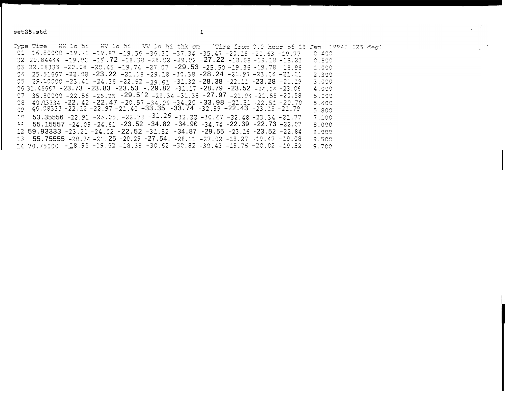set25.std

 $\mathcal{L}^{\text{max}}$ 

Type Time XXX lo hi XV lo hi XV lo hi thk\_cm (Time from 0.0 hour of 19 Jan 1994) [25 deg] 01 16.80000 -19.71 -19.87 -19.56 -36.30 -37.34 -35.47 -20.18 -20.63 -19.77  $C.400$ 02 20.84444 -19.00 -19.72 -18.38 -28.02 -29.02 -27.22 -18.58 -19.18 -18.23  $^\circ$  . 800 03 22.18333 -20.08 -20.45 -19.74 -27.07 -29.53 -25.50 -19.36 -19.78 -18.98  $1.000$  $04$  25.51667 -22.08 -23.22 -21.18 -29.18 -30.38 -28.24 -21.97 -23.04 -21.11 2.300  $25$  29.10000 -23.41 -24.36 -22.62 -29.61 -31.32 -28.38 -22.11 -23.28 -21.19 3.000 06 31.46667 -23.73 -23.83 -23.53 -.29.82 -31.17 -28.79 -23.52 -24.04 -23.06 4.000 07  $35.80000 - 22.55 - 25.25 - 29.5'2 - 29.34 - 31.35 - 27.97 - 21.04 - 21.55 - 20.58$ 5.000  $0.8$  40.03334 -22.42 -22.47 -20.57 -34.09 -34.20 -33.98 -21.51 -22.51 -20.70 5.400 09  $46.08333 - 22.12 - 22.97 - 21.40 - 33.35 - 33.74 - 32.99 - 22.43 - 23.19 - 21.79$ 5.800  $20.53.35556 - 22.92 - 23.05 - 22.78 - 32.25 - 32.22 - 30.47 - 22.48 - 23.34 - 21.77$  $7.100$  $-12$  55.15557  $-24.09 - 24.61 - 23.52 - 34.82 - 34.90 - 34.74 - 22.39 - 22.73 - 22.07$ 8.000  $12$  59.93333 -23.21 -24.02 -22.52 -31.52 -34.87 -29.55 -23.16 -23.52 -22.84 9.000  $13$  55.75555 -20.74 -21.25 -20.29 -27.54. -28.11 -27.02 -19.27 -19.47 -19.08 9.500  $14$  70.75000 -18.95 -19.62 -18.38 -30.62 -30.82 -30.43 -19.76 -20.02 -19.52 9.700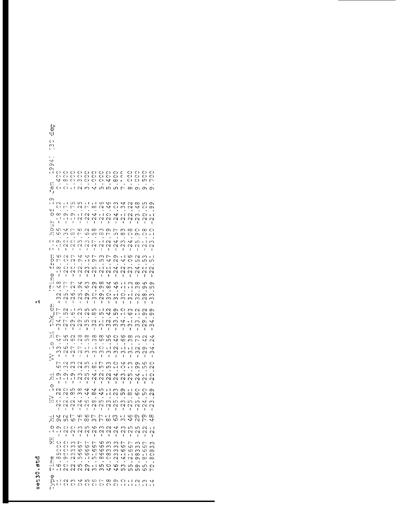## set30.std

| ပ္ပ,<br>٦U                                                                                                                                                                                                  |                                                                                                                                                                                                                                                                   |                                                                                                                                                                                              |                                                                                                                                                                                                                          |                                                                                                                                                                                                                                 |
|-------------------------------------------------------------------------------------------------------------------------------------------------------------------------------------------------------------|-------------------------------------------------------------------------------------------------------------------------------------------------------------------------------------------------------------------------------------------------------------------|----------------------------------------------------------------------------------------------------------------------------------------------------------------------------------------------|--------------------------------------------------------------------------------------------------------------------------------------------------------------------------------------------------------------------------|---------------------------------------------------------------------------------------------------------------------------------------------------------------------------------------------------------------------------------|
| $\mathsf{C}$<br>S.                                                                                                                                                                                          |                                                                                                                                                                                                                                                                   |                                                                                                                                                                                              |                                                                                                                                                                                                                          |                                                                                                                                                                                                                                 |
| $\mathcal{L}$<br>O١<br>O١<br>O<br>t 1<br>O<br>C)<br>O<br>Ź,<br>∞<br>ς:<br>٨Ú<br>O<br>Ő<br>ť,                                                                                                                | O<br>O<br>O<br>Ő<br>C)<br>O<br>Ô<br>C١<br>ω<br>r 1<br>$\sim$<br>ω                                                                                                                                                                                                 | C)<br>C)<br>000<br>S<br>Ô<br>$\mathbf{v}$<br>4<br>w.<br>ľΟ                                                                                                                                   | S<br>$\frac{c}{c}$<br>S<br>Ô<br>$\infty$<br>ŗ<br>ഗ<br>┌<br>$\infty$                                                                                                                                                      | $\circ$<br>O<br>$\circ$<br>Ó<br>Ó<br>O<br>Ō<br>ïυ<br>冖<br>O١<br>ጣ<br>O١                                                                                                                                                         |
| O١<br>t I<br>N<br>₹₹<br>O<br>$\sim$<br>41<br>O<br>∞<br>O١<br>$\frac{1}{2}$<br>τł<br>NO.<br>п.<br>ഗ<br>↝<br>$\mathcal{L}_i$<br>ഗ<br>Μ<br>C)<br>Ó<br>O١<br>$\cdot$<br>ŧΙ<br>$\scriptstyle\sim$                | ιn<br>m<br>$\mathcal{L}^1$<br>N<br>冖<br>$\sim$<br>О١<br>τł<br>۱,<br>$\mathsf{C}\mathsf{V}$<br>$\scriptstyle\sim$<br>ľ<br>$\overline{C}$<br>ပ<br>$\mathsf{C}$<br>ω<br>$\mathcal{L}_{\mathcal{A}}$<br>ဖ<br>C)<br>m<br>3<br>$\scriptstyle\sim$<br>$\mathcal{C}$<br>Ń | $t - 1$<br>ç<br>c<br>↵<br>œ<br>W<br>.<br>ا<br>Ō<br>↵<br>$\frac{2}{1}$<br>$\frac{1}{2}$<br>Ν<br>L<br>Μ<br>œ<br>σ١<br>ιn<br>∞<br>$\overline{\phantom{0}}$<br>$\sim$<br>$-27.$<br>$\tau$ 4      | ↵<br>Μ<br>N<br>C)<br>ω<br>$\mathbf{\Omega}$<br>4<br>τł<br>$\mathcal{L}$<br>$\frac{1}{2}$<br>$\frac{1}{2}$<br>ر<br>د<br>ω<br>7<br>$^\infty$<br>O<br>ഗ<br>∞<br>$\mathbf{v}$<br>m<br>ç                                      | $^\infty$<br>ın<br>O١<br>↵<br>C)<br>O١<br>$\bullet$<br>$\sim$<br>O<br>r 4<br>$\frac{1}{2}$<br>$\scriptstyle\sim$<br>$\scriptstyle\sim$<br>$\mathbf{I}$<br>$\mathbf{I}$<br>O<br>∞<br>O<br>O١<br>r I<br>O<br>ć.<br>rυ<br>ω        |
| C)<br>$\mathbf{I}$<br>I.<br>$\ddot{\ddot{\circ}}$<br>w<br>$\overline{\mathcal{N}}$<br>O<br>$\overline{\phantom{0}}$<br>١ł<br>ųί<br>œ<br>O<br>1<br>W<br>٢.<br>U)<br>J.<br>ı<br>$\mathbf{E}$<br>$\infty$<br>r | $\mathbf{I}$<br>ť<br>$\mathfrak{t}$<br>v<br>Þ<br>$\overline{ }$<br>$\overline{\mathcal{C}}$<br>O١<br>$\sqrt{ }$<br>$\overline{\mathcal{C}}$<br>Ō,<br>د،<br>$\infty$<br>$\scriptstyle\sim$<br>N<br>ł<br>ŧ<br>t<br>$\overline{\phantom{0}}$<br>↵<br>$\infty$        | ن<br>ا<br>$\frac{1}{2}$<br>$\pmb{\mathsf{I}}$<br>$\overline{ }$<br>ω<br>47<br>гυ<br>O١<br>$\ddot{\cdot}$<br>r I<br>ഗ<br>L)<br>$\scriptstyle\sim$<br>Z<br>I<br>ł<br>ŧ<br>$\infty$<br>۳ħ<br>O١ | ر<br>د<br>$\mathbf 2$<br>ر<br>د<br>ı<br>t ł<br>ဖ<br>O١<br>$\overline{\mathcal{C}}$<br>↵<br>O<br>$\ddot{\phantom{0}}$<br>Z<br>$\infty$<br>$\sim$<br>$\mathbf{\Omega}$<br>N<br>l<br>$\mathbf{I}$<br>ſ<br>Ю<br>$\sim$<br>٢ł | $\mathbf \sim$<br>$\scriptstyle\sim$<br>N<br>L<br>$\mathbf{I}$<br>I.<br>$\overline{\mathcal{C}}$<br>M<br>t l<br>ഗ<br>m<br>ഗ<br>Þ<br>Ō<br>$\sim$<br>$\sim$<br>$\mathbf{\mathsf{a}}$<br>N<br>I.<br>I<br>ı<br>S<br>$^\infty$<br>O١ |
| Ε١<br>$\overline{a}$<br>v<br>$\sim$<br>ιn<br>ω<br>W<br>$\pmb{\cdot}$<br>ł                                                                                                                                   | $\scriptstyle\sim$<br>O١<br>ဖ<br>$\cdot$<br>Ю<br>ιn<br>o<br>$\sim$<br>$\mathbf{\hat{z}}$<br>$\scriptstyle\sim$<br>V<br>ł<br>I                                                                                                                                     | σ١<br>$^{\circ}$<br>$\mathcal{\mathcal{L}}$<br>O١<br>C)<br>$\circ$<br>$\mathbf \Omega$<br>Μ<br>ှ<br>$\pmb{\mathfrak{t}}$<br>١                                                                | 4<br>ا ج<br>r ł<br>$\overline{a}$<br>O<br>e f<br>ω<br>$\infty$<br>ω<br>$\mathbf{I}$<br>ł<br>١                                                                                                                            | 6<br>ഗ<br>o١<br>$\overline{\mathcal{C}}$<br>$\sim$<br>∞<br>m<br>$\scriptstyle\sim$<br>ω<br>١<br>١<br>١                                                                                                                          |
| }}<br>ن<br>$\overline{\mathcal{C}}$<br>$\overline{\phantom{0}}$<br>$\sum_{i=1}^{n}$<br>$\tilde{\phantom{0}}$<br>ഗ<br>$\overline{1}$<br>↵<br>3<br>$\mathcal{C}$<br>$\mathbf{I}$<br>L                         | Μ<br>ഗ<br>٢I<br>(L)<br>N<br>$\mathbf \Omega$<br>w<br>O١<br>O١<br>N<br>N<br>ω<br>I.<br>ı<br>L                                                                                                                                                                      | ഗ<br>ŧ١<br>$\mathbf \alpha$<br>Ψ<br>ω<br>ഗ<br>$\cdot$<br>$\blacksquare$<br>$\bullet$<br>$\overline{\mathsf{C}}$<br>τł<br>$\sim$<br>m<br>ω<br>ω<br>$\mathbf{I}$<br>ı<br>ŧ                     | σ١<br>O<br>$\sim$<br>Г<br>гH<br>Ф<br>$\blacksquare$<br>$\bullet$<br>$\bullet$<br>ω<br>₩<br>r I<br>ω<br>ω<br>m<br>I<br>ı<br>ŧ                                                                                             | $\mathbf{\Omega}$<br>$\mathsf{C}$<br>O١<br>r f<br>٥١<br>O١<br>$\cdot$<br>٠<br>$\ddot{\phantom{0}}$<br>6<br>О١<br>↵<br>ω<br>$\scriptstyle\sim$<br>ω<br>Ï<br>ı<br>ı                                                               |
| ا - ۰<br>: 1,<br>47<br>Ю<br>m<br>O<br>ω<br>r f<br>ഗ<br>6<br>W<br>$\breve{\varepsilon}$<br>$\mathbf{I}$<br>$\mathbf{I}$                                                                                      | $\sim$<br>$\infty$<br>$\infty$<br>c)<br>$\sim$<br>ιn<br>L<br>$\sim$<br>ŧΙ<br>$\infty$<br>$\mathcal{C}$<br>ω<br>$\mathbf I$<br>$\mathbf{I}$<br>$\pmb{ }$                                                                                                           | $\infty$<br>S<br>$\infty$<br>m<br>m<br>ယ<br>O<br>ς ξ<br>ا ۲<br>∾<br>دا<br>m<br>I.<br>$\mathbf{I}$                                                                                            | C7<br>Ф<br>$\infty$<br>Ф<br>∾<br>$\mathcal{Q}$<br>$r-1$<br>τł<br>د<br>ا<br>- 3<br>ω<br>$\mathbf{I}$                                                                                                                      | 73<br>$\zeta_2$<br>↵<br>$\scriptstyle\sim$<br>O١<br>N<br>ヤ<br>m<br>$\scriptstyle\sim$<br>ω<br>L<br>ł<br>Ł                                                                                                                       |
| $\overline{\phantom{0}}$<br>N<br>S<br>m<br>O١<br>σ١<br>٠e١<br>'n,<br>τI<br>ŧΙ<br>$\overline{\phantom{a}}$<br>$\mathbf{I}$                                                                                   | N<br>ഗ<br>ო<br>N<br>$\mathbf{\sim}$<br>m<br>$\cdot$<br>$\infty$<br>m<br>О١<br>$\mathbf{\Omega}$<br>τł<br>$\sim$<br>Ţ<br>I<br>I                                                                                                                                    | r f<br>57<br>ω<br>m<br>œ<br>$\zeta$ .<br>$\blacksquare$<br>$\,$<br>2<br>$\mathbf{\mathsf{c}}$<br>U<br>$\mathbf{\sim}$<br>N<br>$\mathbf{I}$<br>ŧ<br>L                                         | $\frac{0}{1}$<br>₩<br>ω<br>O<br>r (<br>$\cdot$<br>$\mathbf{t}$<br>$\sim$<br>ιn<br>U<br>$\mathbf \Omega$<br>$\sim$<br>$\mathbf{I}$<br>ı<br>I.                                                                             | O<br>O١<br>ပ<br>$\scriptstyle\sim$<br>O١<br>m<br>$\bullet$<br>∾<br>Ó<br>c l<br>$\scriptstyle\sim$<br>$\scriptstyle\sim$<br>$\scriptstyle\sim$<br>t<br>ł<br>L                                                                    |
| O<br>r ł<br>$\mathcal{L}$<br>O<br>U<br>Z<br>$\sum_{i=1}^{n}$<br>٠<br>c١<br>L)<br>$\sim$<br>$\sim$<br>Τ.<br>$\mathfrak l$                                                                                    | 4<br>m<br>$\infty$<br>m<br>↝<br>∞<br>$\mathbf{v}$<br>$\infty$<br>c<br>Ń<br>$\scriptstyle\sim$<br>٢J<br>f.<br>$\mathcal{A}$<br>$\mathbf{L}$                                                                                                                        | 45<br><b>St</b><br>τ٠Ι<br>$\infty$<br>٣ł<br>$\cdot$<br>ω,<br>$^\infty$<br>ω<br>$\mathbf{\sim}$<br>M<br>$\scriptstyle\sim$<br>$\mathbf{I}$<br>$\mathbf{I}$<br>$\mathbf{I}$                    | ω<br>O١<br>тH<br>$\mathbf{\sim}$<br>m<br>∞<br>m<br>ω<br>m<br>$\sim$<br>N<br>৻৲<br>$\mathbf{I}$<br>$\mathbf{I}$<br>L                                                                                                      | O<br>O<br>o١<br>Ο<br>m<br>U<br>ĽΩ<br>$\mathcal{L}^{\text{st}}$<br>ω<br>N<br>$\scriptstyle\sim$<br>$\scriptstyle\sim$<br>$\mathbf{I}$<br>$\mathbf{I}$<br>ŧ                                                                       |
| $\cdot$ r f<br>N.<br>$\sim$ $\sim$<br>Σ,<br>O١<br>ιn<br>$\circ$<br>O<br>O١<br>r H<br>τł<br>S.<br>1<br>$\mathbf{I}$                                                                                          | <b>ND</b><br>0<br>$\Gamma$<br>O<br>C)<br>ťΟ<br>N<br><b>Z</b><br>$\sim$<br>$\pmb{\mathsf{I}}$<br>I<br>ı                                                                                                                                                            | 22788<br>$-23$<br>$\mathbf{\Omega}$<br>S<br>Z<br>N<br>$\mathsf{I}\hspace{-1.5pt}\mathsf{I}$<br>$\mathbf I$                                                                                   | 49<br>42<br>C <sub>2</sub><br>틍<br>↵<br>m<br>ω<br>$\mathbf{\Omega}$<br>$\sim$<br>N<br>f,<br>t<br>$\mathbf{I}$                                                                                                            | O١<br>∞<br>t<br>₩<br>N<br>۱Л<br>$\sim$<br>τł<br>$\sim$<br>$\sim$<br>$\sim$<br>ŧ<br>г                                                                                                                                            |
| n,<br>O<br>c١<br>O<br>O<br>$\circ$<br>$\mathsf{C}$<br>O<br>١n<br>q)<br>œ<br>σ١<br>F,<br>$\blacksquare$<br>٠<br>۰, ۱<br>w<br>O<br>E۰<br>W<br>τł                                                              | ر ب<br>⊢<br>⊢<br>$\infty$<br>᠊ᢁ<br>9<br>M<br>ဖ<br>᠊<br>رى<br>c<br>v<br>$\sim$<br>ιn<br>τI<br>$\bullet$<br>$\bullet$<br>$\bullet$<br>ហ<br>N<br>O١<br>N<br>$\scriptstyle\sim$<br>പ്പം സ                                                                             | c<br>m<br>L<br>ç<br>33<br>ပ<br>ယ<br>ဖ<br>$\infty$<br>t I<br>ഗ<br>ഗ<br>œ<br>O<br>٠<br>$\bullet$<br>$\blacksquare$<br>$-1$<br>ហ<br>$\circ$<br>↵<br>w                                           | S<br>$\overline{\phantom{0}}$<br>冖<br>3<br>Ф<br>S<br>.<br>วิ<br>ω<br>Ф<br>٢ł<br>τI<br>$\scriptstyle\sim$<br>Ψ<br>$\scriptstyle\sim$<br>$\ddot{\phantom{0}}$<br>٠<br>ယ<br>ω<br>m<br>↵<br>m<br>ഗ                           | ω<br>Μ<br>$\overline{C}$<br>$\sim$<br>Μ<br>G<br>M<br>c<br>$\infty$<br>$\infty$<br>O<br>e f<br>o١<br>œ<br>∞<br>٠<br>Ó<br>O١<br>ഗ<br>ഗ<br>w<br>r                                                                                  |
| Ф<br>ρ,<br>À                                                                                                                                                                                                |                                                                                                                                                                                                                                                                   |                                                                                                                                                                                              |                                                                                                                                                                                                                          |                                                                                                                                                                                                                                 |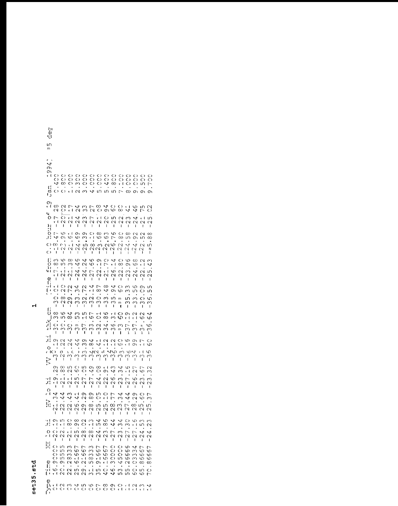## set35.std

 $\mathbf{r}$ 

| t۱<br>g)<br>IJ<br>ιn                                                                                                                                |                                                                                                                                                                      |                                                                                                                                                                                    |                                                                                                                  |                                                                                                                                                                                |                                                                         |                                                                                                                                                                               |                                                                                                 |                                                                          |                                                                                      |
|-----------------------------------------------------------------------------------------------------------------------------------------------------|----------------------------------------------------------------------------------------------------------------------------------------------------------------------|------------------------------------------------------------------------------------------------------------------------------------------------------------------------------------|------------------------------------------------------------------------------------------------------------------|--------------------------------------------------------------------------------------------------------------------------------------------------------------------------------|-------------------------------------------------------------------------|-------------------------------------------------------------------------------------------------------------------------------------------------------------------------------|-------------------------------------------------------------------------------------------------|--------------------------------------------------------------------------|--------------------------------------------------------------------------------------|
| m<br>J<br>O١<br>О١<br>۱,<br>↵<br>t,<br>πj<br>Ć١<br>ر ا                                                                                              | O<br>∞<br>C)<br>τł                                                                                                                                                   | 0 0 0 0 0 0 0 0<br>0 0 0 0 0 0 0 0<br>C)<br>C)<br>ω<br>$\sim$<br>$\infty$                                                                                                          | Ō<br>O<br>↵                                                                                                      | င်<br>လ<br>પ<br>n.<br>ഗ                                                                                                                                                        | C)<br>∞<br>កោ                                                           | Ő<br>$\frac{0}{0}$<br>Ō<br>τł<br>Γ<br>$\infty$                                                                                                                                | C)<br>O<br>O<br>O١                                                                              | $\bigcirc$<br>O<br>m<br>σ١                                               | C<br>O<br>冖<br>O١                                                                    |
| О١<br>r i<br>$\infty$<br>w<br>ч<br>O<br>Ľ<br>τł<br>H <sub>11</sub><br>J.<br>r-<br>: ۲,<br>↵<br>$\infty$<br>C)                                       | $O + 1$<br>)<br>E) e f<br>$\sim$<br>$\sim$<br>ł<br>L<br>ഗ<br>τł<br>Ю<br>О١<br>٠<br>o s<br>$x - 1$                                                                    | 2009 2009 2009 200<br>$\sim$<br>₩<br>U<br>$\sim$<br>г<br>ŧ<br>σ١<br>О١<br>w<br>ω<br>$\sqrt{ }$<br>$\Omega$                                                                         | m <sub>q</sub><br>$\sim$ $\sim$<br>$\sim$<br>Ł<br>O<br>٣ł<br>$\infty$                                            | $O$ $O$ $O$<br>$r +$<br>$\sim$<br>N<br>$\mathbf{I}$<br>$\mathsf I$<br>$\infty$<br>m<br>w<br>ω<br>٠<br>$\sim$                                                                   | $O$ In<br>$\sim$<br>I.<br>ဖ<br>L<br>٠<br>$\sim$ $\sim$                  | $\rightarrow$<br>$\infty$<br>$\sim$ $\sim$<br>$\sim$<br>$\sim$<br>$\mathbf{I}$<br>$\mathbf{I}$<br>$\mathsf{C}$<br>$^\infty$<br>œ<br>ιŊ<br>$\sim$<br>$\mathcal{L}_\mathcal{V}$ | Λ,<br>$\ddot{}$<br>$\mathcal{C}$<br>Ł<br>$\sim$<br>σ١<br>$\mathbf{t}$                           | ιn<br>$\overline{ }$<br>t ł<br>N<br>$\mathbf{r}$<br>C<br>ເດ<br>$\vee$    | S<br>ιn<br>C٦,<br>ŧ<br>$\infty$<br>ထ<br>$\bullet$<br>ഗ                               |
| τł<br>$\mathsf{C}$<br>$\mathbf{I}$<br>f.<br>$\infty$<br>O<br>œ<br>، د<br>ч,<br>$\overline{\phantom{0}}$<br>۲I<br>ا<br>0<br>퇵<br>τł<br>$\circ$<br>E٠ | (V<br>W<br>t.<br>$\mathbf{I}$<br>S<br>∞<br>ເດ<br>$\infty$<br>e t<br>$\sqrt{1}$<br>$\scriptstyle\sim$<br>$\sim$<br>$\mathbf{I}$<br>ı<br>C)<br>$\mathcal{Q}$<br>N<br>应 | $\mathbf{\Omega}$<br>N<br>Ï<br>L<br>6<br>J<br>Y<br>N<br>$\mathbf{v}$<br>۴J<br>$\scriptstyle\sim$<br>$\mathbf \alpha$<br>Ī.<br>I<br>√<br>$\mathbf  \alpha$<br>ω<br>L                | $\sim$ $\sim$<br>Ĭ.<br>᠊ᢁ<br>Φ<br>7.<br>$\mathcal{C}$<br>$\mathbf{I}$<br>↵<br>۳ł                                 | $\sim$<br>I.<br>$\mathbf{I}$<br>о١<br>O<br>r f<br>$\overline{ }$<br>ä,<br>٠<br>$\ddot{\phantom{a}}$<br>Z<br>ې<br>د<br>$\mathbf{\Omega}$<br>ı<br>L<br>$\infty$<br>$\infty$<br>↵ | $\sim$<br>ı<br>↵<br>r I<br>c<br>2<br>ł<br>↵<br>о١                       | C٧<br>L)<br>$\mathbf{I}$<br>T<br>O<br>ယ<br>ω<br>ο١<br>٠<br>$\overline{\mathcal{C}}$<br>$\infty$<br>ς -<br>N<br>ı<br>O<br>$\infty$<br>w<br>W                                   | $\frac{1}{1}$<br>ω<br>ഗ<br>Ń,<br>$\scriptstyle\sim$<br>$\mathbf{I}$<br>ယ<br>m                   | $\sim$<br>N<br>t l<br>٠<br>$\sim$<br>$\scriptstyle\sim$<br>1<br>Ο١<br>O  | Ν<br>Ĩ.<br>M<br>4<br>ഗ<br>N<br>Ł<br>ഗ<br>ഗ                                           |
| C)<br>ω<br>$\mathbf{I}$<br>5<br>∞<br>C<br>Ń,<br>$\frac{1}{1}$<br>C)<br>3<br>ł<br>r f                                                                | $\infty$<br>Ö<br>$\mathbf \alpha$<br>$\mathcal{Q}$<br>ı<br>ç<br>₩<br>$^\infty$<br>ഗ<br>C)<br>O<br>رى<br>ო<br>L<br>ı                                                  | $\omega$<br>$\sim$<br>$\frac{1}{2}$<br>ω<br>$\overline{1}$<br>ω<br>m<br>m<br>$r-1$<br>$\overline{a}$<br>m<br>ω<br>Μ<br>$\mathbf{f}$<br>t                                           | $\mathbf{\Omega}$<br>ω<br>I<br>$\overline{ }$<br>ω<br>S<br>ω<br>ı                                                | $\circ$<br>$\sim$<br>ω<br>S<br>$\mathbf{I}$<br>I<br>$\mathbf -$<br>Ю<br>O<br>$\infty$<br>$\sim$<br>Ź,<br>ω<br>ო<br>ı<br>$\mathbf{I}$                                           | ΓU.<br>m<br>ر<br>ا<br>m<br>e f<br>ω<br>S<br>ω<br>$\mathbf{I}$           | ru<br>$\tilde{c}$<br>t<br>O<br>О١<br>ഗ<br>٣ł<br>7.<br>$\infty$<br>ω<br>$\,m$<br>$\mathbf{I}$<br>1                                                                             | Μ<br>ω<br>$\mathbf{I}$<br>$\sim$<br>r I<br>٠<br>$\overline{\phantom{0}}$<br>3<br>1              | O<br>ω<br>ı<br>$\mathbf{\Omega}$<br>ഗ<br>٠<br>${\sf N}$<br>0<br>1        | S<br>$\infty$<br>I.<br>₩<br>v<br>S<br>ω<br>1                                         |
| л,<br>O١<br>ŧΙ<br>O<br>r (C).<br>W<br>$\ddot{5}$<br>$\mathbf{I}$<br>о١<br>$\scriptstyle\sim$<br>σ١<br>r f                                           | $\sim$<br>↵<br>W<br>N<br>$\circ$<br>$\sqrt{6}$<br>$\sim$<br>ω<br>$\mathbf{I}$<br>L<br>ιn<br>∞<br>ω<br>N<br>τI<br>٣ł                                                  | ىپ<br>O١<br>↵<br>ω<br>$\rightarrow$<br>ω,<br>ω<br>ကို<br>ŧ<br>$\circ$<br>m<br>$\circ$<br>৩<br>$\bullet$<br>ıη<br>$\overline{ }$                                                    | $\checkmark$<br>$\infty$<br>$\bullet$<br>о١<br>↵<br>$\bullet$<br>7                                               | r I<br>$\sim$<br>J<br>שומ זו שיוט מז יטישי<br>$\infty$<br>τł<br>Ö<br>О١<br>$\overline{\mathbf{v}}$<br>$\sim$                                                                   | $\sim$<br>$Q \rightarrow \tau$<br>S<br>₩<br>S                           | O O<br>r L<br>က္ ကု<br>Ÿ<br>c<br>ω<br>r I<br>ω<br>L                                                                                                                           | σ١<br>Ο١<br>$\rightarrow$<br>N<br>Ο                                                             | $\sim$<br>$\tau +$<br>$\mathbf{r}$<br>$\cup$<br>$\overline{a}$<br>Ф<br>m | O<br>ပ<br>w<br>M<br>L<br>S<br>ω<br>ω                                                 |
| г,<br>e f<br>O<br>r 1<br>↩<br>ω<br>ζŗ.<br>r f<br>w<br>ŧ<br>on in<br>-74                                                                             | N<br>$\scriptstyle\sim$<br>$\mathbf{I}$<br>t<br>₩<br>$\zeta$<br>↵<br>N<br>N<br>N.<br>N<br>ŧ.<br>L                                                                    | N<br>$\scriptstyle\sim$<br>$\mathbf{I}$<br>Ţ<br>$r +$<br>О١<br>Â<br>$\mathbf{\Omega}$<br>w<br>O١<br>N<br>$\mathbf{\Omega}$<br>$\mathbf{I}$<br>$\mathbf{1}$                         | $\sim$<br>$\pmb{\mathsf{I}}$<br>σ١<br>$^\infty$<br>$\infty$<br>$\mathbf{\mathsf{c}}$<br>$\mathbf{I}$<br>$\infty$ | N<br>N<br>I.<br>Ì.<br>m<br>$\circ$<br>O<br>r I<br>w<br>ഗ<br>N<br>$\sim$<br>$\mathbf{1}$<br>$\mathbf{I}$<br>۲J٢                                                                 | N<br>I.<br>77<br>დ ო<br>$\sim$ $\sim$<br>$\mathbf{1}$<br>$\blacksquare$ | $\scriptstyle\sim$<br>$\scriptstyle\sim$<br>$\mathbf{I}$<br>ı<br>À<br>₩<br>ω<br>4<br>$\overline{\phantom{0}}$<br>N<br>L                                                       | N<br>ı<br>o١<br>$\sim$<br>∞<br>$\sim$<br>$\blacksquare$                                         | $\scriptstyle\sim$<br>$\mathbf{1}$<br>O<br>S<br>ιn<br>N<br>$\mathbf{I}$  | $\scriptstyle\sim$<br>ı<br><u>L</u><br>5<br>ഗ<br>$\sim$<br>ŧ                         |
| : ۲,<br>r I<br>C)<br>$\circ$<br>гI<br>M<br>т<br>hi<br>H<br>Ő<br>$\mathsf{C}$<br>O<br>C)                                                             | O<br>$\tau$ 4<br>∞<br>$\bullet$<br>τI<br>$\sim$<br>$\sim$<br>$\sim$<br>1<br>1<br>m<br>$\infty$<br>m<br>ω<br>ω<br>ഗ<br>00<br>m                                        | ∞<br>$\sim$<br>Ô<br>O١<br>$\bullet$<br>$\mathfrak{c}$<br>$\infty$<br>N<br>$\sim$<br>ı<br>L<br>Γ<br>7<br>Ф<br>Φ<br>c<br>S<br>$\mathbf{r}$<br>v. ł                                   | r 4<br>$\bullet$<br>CÓ<br>W<br>ł<br>ω<br>ω<br>$\infty$<br>$\infty$                                               | c<br>ഗ<br>$\infty$<br>$\bullet$<br>$\sim$<br>J.<br>ω<br>$\sim$<br>$\sim$<br>T<br>ı<br>$\overline{ }$<br>$\overline{\phantom{0}}$<br>Φ<br>Ф<br>Ф<br>Ф<br>r I<br>c               | પ<br>Ņ<br>$\cdot$<br>L,<br>N<br>L<br>O<br>O<br>င္<br>၁                  | $\overline{\mathcal{A}}$<br>O<br>ω<br>ω<br>$\bullet$<br>٠<br>ω<br>$\overline{\phantom{0}}$<br>$\scriptstyle\sim$<br>N<br>I<br>T<br>O<br>ഗ<br>O<br>ω<br>O<br>᠊ᢁ<br>ഗ<br>ত      | ഗ<br>r ł<br>٠<br>$\sim$<br>$\scriptstyle\sim$<br>$\mathbf{I}$<br>₩<br>m<br>$\infty$<br>$\infty$ | m<br>ഗ<br>$\bullet$<br>낙<br>$\sim$<br>ŧ<br>┌<br>c<br>c<br>w              | Μ<br>$\sim$<br>$\bullet$<br>$\ddot{}$<br>$\scriptstyle\sim$<br>1<br>冖<br>Φ<br>ဖ<br>ᡐ |
| Φ<br>O١<br>Ε,<br>۰r١<br>ω.<br>τł<br>E٠<br>Ф<br>pi ci<br>> 5                                                                                         | о١<br>N<br>$\mathsf{C}$<br>U N<br>$N$ $N$ $N$                                                                                                                        | ω<br>$\scriptstyle\sim$<br>٠<br>٠<br>о١<br>N<br>2 2 3 4 5 6 7 6 7 8 9 9 0 1 2 3 4 5 6 7 8 9 9 1 2 3 4 5 6 7 8 9 9 1 2 3 5 6 7 8 9 9 9 1 2 3 5 6 7 8 9 9 9 1 2<br>00000000111111111 | ഗ<br>$\tau$ 1<br>ω                                                                                               | τł<br>o<br>٠<br>٠<br>O<br>ഗ<br>$\omega$<br>₩                                                                                                                                   | ω<br>$\bullet$<br>o.<br>$\infty$<br>↩                                   | Y<br>$\scriptstyle\sim$<br>$\bullet$<br>$\bullet$<br>ഗ<br>ഗ<br>ഗ                                                                                                              | Ő<br>O<br>৩                                                                                     | ∞<br>m<br>᠊ᢦ                                                             | ∞<br>$\ddot{\circ}$<br>┌                                                             |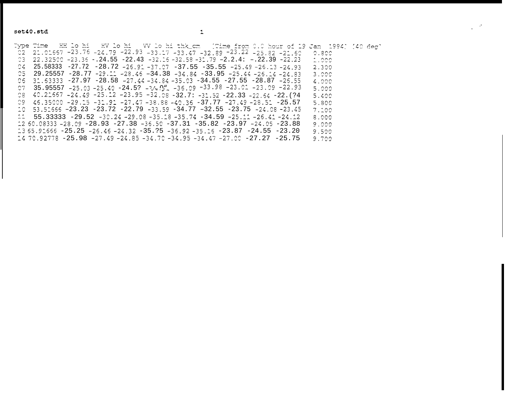$\sim 10^4$ 

Type Time XH lo hi XV lo hi VV lo hi thk\_cm (Time from 0.0 hour of 19 Jan 1994) (40 deg'  $22.22.22557 - 23.75 - 24.79 - 22.93 - 33.17 - 33.47 - 32.89 - 23.22 - 25.82 - 21.60$  $0.800$  $23$   $22.32500 - 23.36 - 0.24.55 - 22.43 - 32.16 - 32.58 - 31.79 - 2.2.44 = -0.22.39 - 22.23$  $1.000$  $C4$  25.58333 -27.72 -28.72 -26.91 -37.07 -37.55 -35.55 -25.49 -26.13 -24.93 2.300  $25$   $29.25557$   $-28.77$   $-29.11$   $-28.45$   $-34.38$   $-34.84$   $-33.95$   $-25.44$   $-26.14$   $-24.83$  $3.000$ 06 31.63333 -27.97 -28.58 -27.44 -34.84 -35.03 -34.55 -27.55 -28.87 -26.55  $4.000$ 07 35.95557 -25.03 -25.40 -24.5? -34.0 -36.09 -33.98 -23.01 -23.09 -22.93 5.000  $28$  40.21557 -24.49 -25.12 -23.95 -32.08 -32.7: -31.52 -22.33 -22.54 -22. (?4 5.400 09 46.35000 -29.15 -31.91 -27.47 -38.88 -40.36 -37.77 -27.49 -28.51 -25.57 5.800  $10$  53.51666 -23.23 -23.72 -22.79 -33.59 -34.77 -32.55 -23.75 -24.08 -23.45  $7.100$  $11$   $55.33333$   $-29.52$   $-30.24$   $-29.08$   $-35.18$   $-35.74$   $-34.59$   $-25.11$   $-26.41$   $-24.12$ 8,000 12 50.08333 -28.09 -28.93 -27.38 -36.50 -37.31 -35.82 -23.97 -24.05 -23.88  $9.000$  $235.92555 - 25.25 - 26.45 - 24.32 - 35.25 - 36.92 - 35.15 - 23.87 - 24.55 - 23.20$ 9.500  $1470.92778 - 25.98 - 27.49 - 24.85 - 34.70 - 34.95 - 34.47 - 27.00 - 27.27 - 25.75$ 9.700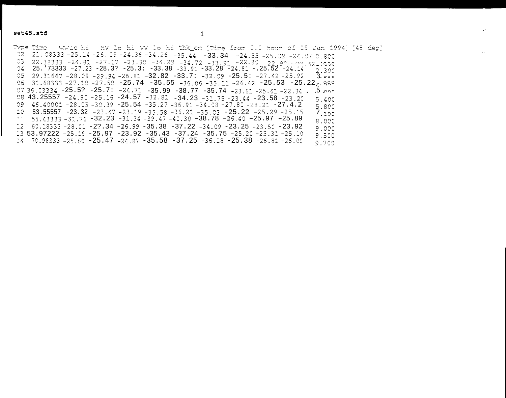$\mathcal{A}$ 

Type Time (HF10 hi (HV) lo hi VV lo hi thk\_cm (Time from 0.0 hour of 19 Jan 1994) [45 deg]  $22.08333 - 25.14 - 26.09 - 24.36 - 34.26 - 35.44 - 33.34 - 24.55 - 25.09 - 24.070.800$  $22.38333 - 24.81 - 27.17 - 23.30 - 34.29 - 34.72 - 33.91 - 22.80 - 22.9 - 22.5$ 04 25.  $73333 - 27.23 - 28.3$ ?  $-25.3$ :  $-33.38 - 33.92 - 33.28$ <sup>-</sup> $-24.8$ :  $-25.52 - 24.24$ 2.300  $25$  29.31667 -28.09 -29.94 -26.81 -32.82 -33.7: -32.09 -25.5: -27.42 -25.92  $3.000$ 06 31.68333 -27.10 -27.50 -25.74 -35.55 -36.06 -35.11 -26.42 -25.53 -25.22, 888 07 35.03334 -25.5? -25.7: -24.71 -35.99 -38.77 -35.74 -23.51 -25.41 -22.34 . . . . . . . . . . . . . . . . . . 08 43.25557 -24.90 -25.16 -24.57 -32.81 -34.23 -31.75 -23.44 -23.58 -23.20 5.400 09 45.40001 -28.05 -30.39 -25.54 -35.27 -36.91 -34.08 -27.80 -28.21 -27.4.2 5.800  $10$  53.55557 -23.32 -23.47 -23.19 -35.58 -35.21 -35.03 -25.22 -25.29 -25.15  $7.100$  $11.55.43333 - 31.76 - 32.23 - 31.34 - 39.47 - 40.30 - 38.78 - 26.40 - 25.97 - 25.89$ 8.000  $12$  60.18333 -28.01 -2?.34 -26.99 -35.38 -37.22 -34.09 -23.25 -23.50 -23.92 9.000  $13$  53.97222 -25.19 -25.97 -23.92 -35.43 -37.24 -35.75 -25.20 -25.31 -25.10 9.500  $14$  70.98333 -25.50 -25.47 -24.87 -35.58 -37.25 -36.18 -25.38 -26.81 -26.00 9.700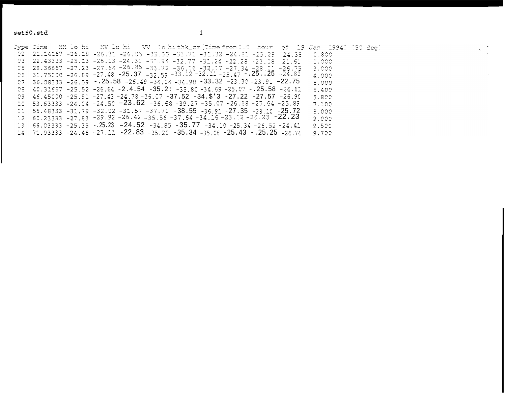set50.std

Type Time EH lo hi EV lo hi WV lo hi thk\_cm [Time from 0.0 hour of 19 Jan 1994] [50 deg] 02 21.14157 -25.18 -25.31 -25.05 -32.35 -33.71 -31.32 -24.81 -25.29 -24.38 0.800 03 22.43333 -25.13 -26.13 -24.31 -31.94 -32.77 -31.24 -22.28 -23.08 -21.61  $1.000$ 05 29.36667 -27.23 -27.64 -26.85 -33.72 -36.16 -32.17 -27.34 -28.01 -26.75<br>06 31.75000 -26.89 -27.48 -25.37 -32.59 -33.12 -32.11 -25.47 -.25..25 -24.80 3.000 4.000 07 36.08333 -26.59 -.25.58 -26.49 -34.04 -34.90 -33.32 -23.30 -23.91 -22.75 5.000 08  $40.31667 - 25.52 - 26.64 - 2.4.54 - 35.2$ :  $-35.80 - 34.69 - 25.07 - 25.58 - 24.62$ 5.400 09 46.45000 -25.91 -27.43 -24.78 -35.07 -37.52 -34.\$'3 -27.22 -27.57 -26.90 5.800  $10$  53.63333 -24.04 -24.50 -23.62 -36.68 -39.27 -35.07 -26.68 -27.64 -25.89  $7.100$  $11 55.48333 - 31.79 - 32.02 - 31.57 - 37.70 - 38.55 - 36.91 - 27.35 - 28.10 - 25.72$ 8,000  $12$  60.23333 -27.83 -29.92 -26.42 -35.56 -37.64 -34.16 -23.12 -24.23 -22.23  $9.000$  $13$  66.03333 -25.35 -.25.23 -24.52 -34.85 -35.77 -34.10 -25.34 -26.52 -24.41 9.500  $-24.71.03333 - 24.46 - 27.11 - 22.83 - 35.20 - 35.34 - 35.05 - 25.43 - 25.25 - 24.74$ 9.700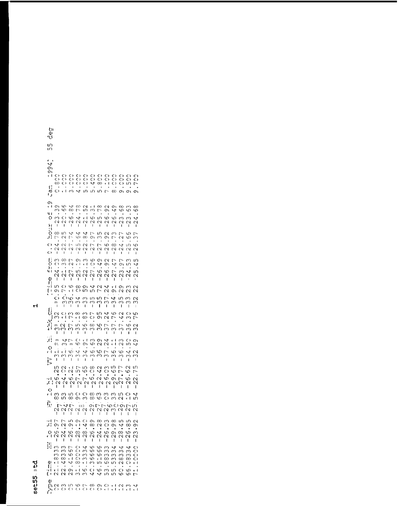# $set55.3td$

 $\mathbf{H}$ 

| וט<br>đ)<br>V<br>m<br>ເດ                                                                                                                         |                                                                                                                                                                                     |                                                                                                                                                                            |                                                                                                                                                            |                                                                                                                                                                            |                                                                                                                                                                                                                                                                                |
|--------------------------------------------------------------------------------------------------------------------------------------------------|-------------------------------------------------------------------------------------------------------------------------------------------------------------------------------------|----------------------------------------------------------------------------------------------------------------------------------------------------------------------------|------------------------------------------------------------------------------------------------------------------------------------------------------------|----------------------------------------------------------------------------------------------------------------------------------------------------------------------------|--------------------------------------------------------------------------------------------------------------------------------------------------------------------------------------------------------------------------------------------------------------------------------|
| $\downarrow$<br>O١<br>о١<br>$\ddot{\phantom{0}}$<br>O<br>Ô<br>œ<br>י<br>הש<br>Ó                                                                  | O<br>C)<br>ز<br>د<br>C)<br>$t +$<br>3                                                                                                                                               | C<br>C<br>C<br>င္)<br>၁<br>$\mathbf{v}$<br>rU                                                                                                                              | c)<br>C)<br>င)<br>၁<br>Ÿ<br>$\infty$<br>m<br>ഗ                                                                                                             | C)<br>င္)<br>၁<br>ł<br>Ô<br>ŧ<br>$\overline{\phantom{0}}$<br>$\infty$                                                                                                      | CO<br>CO<br>S<br>င္<br>၁<br>ĽΩ<br>$\overline{ }$<br>٠<br>Ō١<br>О١<br>о١                                                                                                                                                                                                        |
| O١<br>r (<br>О١<br>ω,<br>44<br>O<br>ო<br>٢Ā<br>N SO<br>$\mathbf{I}$<br>CO<br>: ٢,<br>$\overline{\phantom{0}}$                                    | w<br>ى<br>$\infty$<br>s<br>Ô<br>Ю<br>ن<br>ا<br>$\frac{1}{2}$<br>ιn<br>ى<br>Ń<br>$^{-1}$<br>$\frac{1}{2}$                                                                            | ∞<br>$\sim$<br>in<br>Γ<br>$^{+1}_{-1}$<br>$\mathbf{v}$<br>$\frac{1}{2}$<br>Š<br>↵<br>G)<br>œ                                                                               | r I<br>$\infty$<br>M<br>$\overline{ }$<br>Ø<br>ഗ<br>$\frac{1}{2}$<br>ر<br>ا<br>$\overline{\phantom{0}}$<br>ഗ<br>O١<br>M                                    | W<br>о١<br>O١<br>↵<br>c<br>w<br>$\tilde{\zeta}$<br>ر<br>د<br>$\mathbf \Omega$<br>73<br>Ō١                                                                                  | $\infty$<br>co<br>$\infty$<br>ω<br>ഄ<br>ᡐ<br>S<br>Μ<br>₩<br>ر<br>ا<br>$\tilde{C}$<br>$\scriptstyle\sim$<br>12<br>w<br>r<br>Φ<br>M                                                                                                                                              |
| O<br><b>V</b><br>$\bullet$<br>N<br>Ō<br>ſ<br>si<br>O<br>$\infty$<br>c,<br>計<br>4<br>Ν<br>O)<br>$\mathbf{I}$<br>ξį<br>m                           | $\infty$<br>$\mathsf{C}$<br>$\infty$<br>$\mathbf{I}$<br>ŧ<br>$\infty$<br>$\overline{\phantom{0}}$<br>$\mathcal{L}$<br>3<br>7.<br>e t<br>$\scriptstyle\sim$<br>Ν<br>ı<br>ŧ<br>S<br>O | w<br>$\mathcal{C}$<br>$\omega$<br>ς,<br>$\mathbf{I}$<br>ς,<br>O١<br>r 1<br>$\overline{\mathcal{C}}$<br>ហ<br>$\mathsf{C}$<br>$\scriptstyle\sim$<br>I<br>ı<br>О١             | $-27$ .<br>$\overline{a}$<br>ن<br>ا<br>S)<br>O١<br>Y<br>27.<br>32<br>ı<br>I<br>J.<br>$\mathcal{C}$                                                         | S<br>$^\infty$<br>$\frac{2}{1}$<br>$\frac{1}{2}$<br>$\mathbf \Omega$<br>47<br>O١<br>7.<br>$-25$<br>N<br>ť<br>↵<br>r I                                                      | $\overline{v}$<br>tΩ<br>ω<br>$\frac{2}{1}$<br>$\scriptstyle\sim$<br>$\scriptstyle\sim$<br>Ĺ<br>ı<br>ເດ<br>L<br>ω,<br>Ō١<br>ഗ<br>↵<br>m<br><b>s</b><br>m<br>$\mathcal{C}$<br>ر<br>ا<br>$\scriptstyle\sim$<br>ť<br>O١<br>ω<br>$\scriptstyle\sim$                                 |
| E٠<br>о١<br>Ć<br>m.<br>$\overline{\phantom{a}}$<br>6<br>$\mathcal{C}$<br>$\sum_{i=1}^n$<br>$\tilde{\cdot}$                                       | $-1$<br>٢ł<br>்க்<br>ოო<br>$\overline{1}$<br>$\mathbf{I}$<br>$\mathsf{C}$<br>$\infty$<br>τI<br>C<br>$m$ $\sim$<br>L,<br>ω<br>ოო                                                     | ဇ္လ<br>ഥ<br>Ÿ<br>$\infty$<br>ကို<br>ှ<br>$\infty$<br>M<br>$\infty$<br>τł<br>ഗ<br>Φ<br>ر<br>ا<br>ှ                                                                          | ഥ<br>$\overline{C}$<br>ഗ<br>ഗ<br>ှ<br>$\mathbb{C}$<br>m<br>5<br>Ο١<br>S<br>∞<br>ω<br>6                                                                     | $\scriptstyle\sim$<br>σ١<br>$\downarrow$<br>$\mathcal{L}_{\mathcal{L}}$<br>ن<br>ب<br>ှ<br>₩<br>ç<br>$\Gamma$<br>$\mathbf 2$<br>$\overline{a}$<br>$\overline{a}$<br>m<br>ω  | $\sim$<br>$\mathcal{Q}$<br>$\mathcal{C}$<br>w<br>ω<br>$\mathbf{\sim}$<br>ှ<br>ω<br>m<br>ſ<br>$\mathbf{I}$<br>O<br>23<br>ഗ<br>⌒<br>ω<br>7.<br>9<br>$\sim$<br>m<br>S<br>W                                                                                                        |
| $\mathbf{I}$<br>$\mathbf{\ddot{r}}$<br>m<br>0 /<br>$\circ$<br>$\ddot{i}$<br>こ<br>C<br>$\mathbf{I}$<br>ເດ<br>$\sim$                               | $\overline{\phantom{a}}$<br>I.<br>Ÿ<br>$\overline{ }$<br>m<br>m<br>i,<br>۱Ġ<br>$\infty$<br>M<br>$\mathbf{I}$<br>$\mathbf I$<br>2<br>τł<br>$\sim$                                    | $\epsilon$<br>τł<br>Ф<br>σ١<br>$\mathbb{U}$<br>$\mathcal{L}^{\mu}$<br>M)<br>m<br>Ĺ<br>$\mathbf{I}$<br>ιn<br>$\overline{\phantom{0}}$<br>ρο                                 | $\mathbf{I}$<br>\$9<br>O١<br>$\sim$<br>S<br>S<br>M<br>M<br>$\mathfrak l$<br>$\frac{80}{2}$<br>25                                                           | ŧ.<br>$\mathbf{I}$<br>↵<br>٢ł<br>$\mathrel{\sim}$<br>$\mathbf{I}$<br>٢<br>$\ddot{\phantom{0}}$<br>$\overline{C}$<br>c<br>$\sim$<br>ှ<br>Ĭ.<br>S<br>ιŊ<br>Q.                | $\mathbf I$<br>Ĺ<br>$\mathbf{I}$<br>23<br>O<br>O١<br>ιn<br>÷<br>Ф<br>↵<br>$\mathcal{C}$<br>Õ<br>m<br>ω<br>$\mathbf{I}$<br>L<br>L<br>77<br>$\scriptstyle\sim$<br>ιn<br>ဖ<br>$\mathbf{r}$                                                                                        |
| ٠<br>Ф<br>؛ ء<br>$\mathrel{\sim}$<br>ı<br>$\frac{0}{1}$<br>Μ<br>ω<br>$\frac{96}{1}$<br>$\sim$                                                    | $\ddot{\mathbf{r}}$<br>S<br>$\scriptstyle\sim$<br>$\tilde{c}$<br>t<br>m ທ O O<br>1000000<br>$1 - \sqrt{1 - \cosh^{-1} 1}$                                                           | $\overline{\phantom{0}}$<br>$\frac{2}{1}$                                                                                                                                  | $\sigma$ $\tau$<br>$\sim$<br>$\sqrt{2}$<br>$\tilde{c}$                                                                                                     | S<br>O١<br>$\sim$<br>$\tilde{c}$<br>t<br>80 m m m m c<br>80 m m m m c                                                                                                      | $\mathcal{L}$<br>$\mathcal{Q}$<br>ω<br>$\scriptstyle\sim$<br>$\scriptstyle\sim$<br>$\mathbf{I}$<br>L<br>$\mathbf{I}$<br>₩<br>LΩ,                                                                                                                                               |
| ٠r١<br>$\overline{\phantom{0}}$<br>؛ ک<br>ο١<br>٠<br>$\circ$<br>Ю<br>ł<br>$\scriptstyle\sim$<br>$\mathbf I$<br>hi<br>H<br>m<br>ω,<br>$\sim$<br>œ | ĩυ<br>$\overline{ }$<br>$\mathcal{L}$<br>О١<br>₩<br>c<br>$\mathcal \alpha$<br>L)<br>$\mathbf{I}$<br>$\mathbf{I}$<br>333<br>$\overline{ }$<br>S<br>S<br>œ<br>τI                      | $\sigma$<br>O<br>Þ<br>τł<br>$\bullet$<br>$\bullet$<br>$\infty$<br>ω<br>$\scriptstyle\sim$<br>$\scriptstyle\sim$<br>$\mathbf I$<br>$\mathbf I$<br>COOC<br>Ń<br>33<br>$\sim$ | $\infty$<br>O١<br>$^\infty$<br>$\sim$<br>$\bullet$<br>4<br>Ю<br>$\mathcal{C}$<br>N<br>L<br>$\mathbf{I}$<br>Ю<br>ç<br>৩<br>ω<br>ω<br>w<br>Ф<br>$\mathbf{t}$ | ω<br>$^\infty$<br>O<br>O١<br>$\blacksquare$<br>$\bullet$<br>c<br>О١<br>$\scriptstyle\sim$<br>৻৲<br>$\mathbf{I}$<br>1<br>$\infty$<br>↩<br>$\frac{3}{3}$<br>333.<br>$\infty$ | ഥ<br>M<br>$\mathrel{\sim}$<br>$^\circ$<br>ᆉ<br>O١<br>$\bullet$<br>$\bullet$<br>$\bullet$<br>6<br>Ф<br>$\infty$<br>$\scriptstyle\sim$<br>$\scriptstyle\sim$<br>$\scriptstyle\sim$<br>$\blacksquare$<br>Ţ<br>ŧ<br>Þ<br>S<br>4<br>33<br>بن<br>س<br>O<br>$\infty$<br>$\infty$<br>Ô |
| q)<br>r I<br>£,<br>$\mathcal{A}$<br>τł<br>∙r t<br>Ε۰<br>٢v<br>$\boldsymbol{\theta}$                                                              | Ÿ<br>↝<br>$\blacksquare$<br>$\blacksquare$<br>$\mathbf{\Omega}$<br>O١<br>$\mathbf{\mathsf{C}}$<br>$\scriptstyle\sim$                                                                | $\ddot{\cdot}$<br>∞<br>$\sim$<br>$t - 1$<br>S<br>ω<br>ო                                                                                                                    | $\ddot{\cdot}$<br>ហ<br>$\blacksquare$<br>Ô<br>S<br>↵<br>Ч<br>$\begin{array}{c} 0 & 0 & 0 & 0 \\ 0 & 0 & 0 & 0 \\ 0 & 0 & 0 & 0 \end{array}$                | ပ<br>m<br>$\bullet$<br>$\infty$<br>ເດ<br>ιn<br>ഗ<br>$\tau$ 1<br>$\sim$ 1                                                                                                   | O<br>$\scriptstyle\sim$<br>r f<br>$\mathcal{A}$<br>O<br>Ю<br>$\mathbf{r}$ +<br>ᡐ<br>ഄ<br>r<br>$\sim$<br>$\sim$<br>À<br>$\cdot$ 1<br>$\sqrt{1}$<br>$\sim$ 1                                                                                                                     |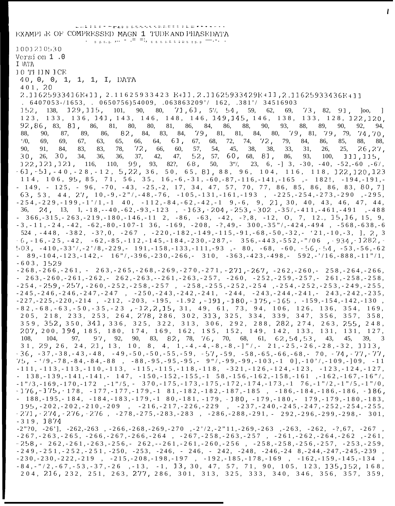www.bibliography.com/homography.com/homography.com/homography.com/homography.com/ EXAMPL E OF COMPRESSED MAGN 1 TUDE AND PHASEDATA 1001210530 Version 1.0 I )VJ.V 10 THIN ICE 40, 0, 0, 1, 1, 1, I, DATA 401, 20 2.11625933416E+11, 2.11625933423 E+11, 2.11625933429E+11, 2.11625933436E+11  $6407053$ -/1653, 0650756)54009, 063863209'/ 162, 381'/ 34516903  $152, 138,$  $129, 115, 101, 90, 80,$  $71, 61, 5\%, 54, 59, 62,$  $73, 82, 91,$ 69,  $|oo,$  $\mathbf{1}$ 123, 133, 136, 141, 143, 146, 148, 146, 149, 145, 146, 138, 133, 128, 122, 120,  $92, 86, 83, 81,$ 81, 86, 84, 86, 88, 90, 93, 88, 86, 81, 80, 80, 89, 90, 92, 94, 82, 84, 83, 84,  $79, 81, 81,$ 84, 80, 79, 81, 79, 79, 88. 90. 87. 89. 86.  $74,70,$  $\frac{1}{2}$ . 61, 72, 79, 69, 69, 67, 63, 65, 66, 64, 67, 68, 74,  $72,$ 84, 86, 85, 88, 88,  $72<sub>1</sub>$ 90. 91. 84. 83. 83, 78, 66, 60. 57, 54, 45, 38. 38, 33, 31. 26, 25.  $26, 27,$ 52, 57, 60, 68, 81,  $30<sub>1</sub>$  $26, 30,$ 34, 36, 36, 37, 42, 47, 93, 111, 115, 86, 100, 99, 93, 82?, 68,  $122, 121, 121, 116, 110,$ 50,  $3\%,$  23, 6, -] 3, -30, -40, -52, -60, -6/,  $-61, -51, -40, -28, -12, 5, 22, 36, 50, 65, 81, 88, 96, 104, 116, 118, 122, 120, 123$  $114, 106, 95, 85, 71, 56, 35, 16, -6, -31, -60, -87, -116, -141, -165$ ,  $-182!, -194, -191, -165, -182$  $-149$ ,  $-125$ ,  $-96$ ,  $-70$ ,  $-43$ ,  $-25$ ,  $-2$ ,  $17$ ,  $34$ ,  $47$ ,  $57$ ,  $70$ ,  $77$ ,  $86$ ,  $85$ ,  $86$ ,  $86$ ,  $83$ ,  $80$ ,  $7$ ] 63, 53, 44, 27, 10, -9, -2"/, -48, -76, -105, -131, -161, -193, -225, -254, -273, -290, -295,  $-254, -229, -199, -1$ '/1, -1 40, -112, -84, -62, -42, -1 9, -6, 9, 21, 30, 40, 43, 46, 47, 44, 36, 24, 13, 1, -18, --40, -62, -93, -123, -163, -204, -253, -302, -35/, -411, -461, -491, -488  $366, -315, -263, -219, -180, -146, -112, -86, -63, -42, -7, 8, -12, 0, 7, 12, 15, 16, 15, 9,$  $-3, -11, -24, -42, -62, -80, -107-1$   $36, -169, -208, -7, 49, -300, -35$ ,  $-424, -494$ ,  $-568, -638, -636$ 524, -448, -382, -3?, 0, -267, -220, -182, -149, -115, -91, -68, -50, -32, - '21, -10, -3, ], 2, 3  $6, -16, -25, -42, -62, -85, -112, -145, -184, -230, -287, -356, -443, -552, -7706, -934, -1282, -1282, -1282, -1282, -1282, -1282, -1282, -1282, -1282, -1282, -1282, -1282, -1282, -1282, -1282, -1282, -1282, -1282, -1282, -1282, -1282, -1282, -1282, -1282, -12$  $503, -410, -33', -27/8, -229, -191, -158, -133, -111, -93$ ,  $-80, -68, -60, -56, -54, -53, -56, -62$  $89, -104, -123, -142, -16$ ,  $7, -396, -230, -266, -310, -363, -423, -498, -592, -716, -888, -11$  $-603.1529$  $-268, -266, -261, -263, -265, -268, -269, -270, -271, -271, -267, -262, -260, -258, -264, -266,$  $263, -260, -261, -262, -262, -263, -261, -263, -257, -260, -252, -259, -257, -261, -258, -258,$  $-254, -259, -257, -260, -252, -258, -257, -258, -255, -252, -254, -254, -252, -253, -249, -255,$  $-245, -246, -246, -247, -247, -250, -243, -242, -241, -244, -243, -244, -241, -243, -242, -235,$  $-227, -225, -220, -214$ ,  $-212, -203, -195, -1.92$ ,  $-191, -180, -175, -165$ ,  $-159, -154, -142, -130$ ,  $-82, -68, -63, -50, -35, -23$ ,  $-12, 2, 15, 31, 49, 61, 73, 94, 106, 126, 136, 354, 169,$ 205, 218, 233, 253, 264, 278, 286, 302, 313, 325, 334, 339, 347, 356, 357, 358, 359, 352, 350, 341, 336, 325, 322, 313, 306, 292, 288, 282, 274, 263, 255, 248, 207, 200, 194, 185, 180, 174, 169, 162, 185, 152, 149, 142, 133, 131, 131, 127, 97, 92, 90, 83, 82, 78, 76, 70, 68, 61, 62, 54, 53, 43, 108, 104, 97. 45, 39. 3  $31, 29, 26, 24, 21, 13, 10, 8, 4, 1, -4, -4, -8, -8, -1$ "/,  $21, -25, -26, -28, -32, 1113,$  $-36, -37, -38, -43, -48, -49, -50, -50, -55, -59, -57, -59, -58, -65, -66, -68, -70, -74, -77, -77,$  $75, -19, -78, -84, -84, -88$ ,  $-88, -95, -95, -95, -97, -99, -99, -103, -10, -107, -109, -109, -109, -11$  $-111, -113, -113, -110, -113, -115, -115, -118, -118, -321, -126, -124, -123, -123, -124, -127,$  $138, -139, -141, -141, -147, -150, -152, -155, -158, -156, -162, -158, -161, -162, -167, -16",$  $-1" {13,-169,-170,-172} \quad , -1" {15,-370,-175,-173,-175,-172,-174,-173,-1} \quad 76,-1" {12,-1" {5,-1" {0}} ,$  $-176, -175, -178, -177, -177, -179, -181, -182, -182, -187, -185, -186, -184, -186, -186, -186,$  $188, -195, -184, -184, -183, -179, -180, -181, -179, -180, -179, -180, -179, -179, -180, -183,$  $195, -202, -202, -210, -209 \quad , \quad -216, -217, -226, -229 \quad , \quad -237, -240, -245, -247, -252, -254, -255,$  $-271, -274, -276, -276, -278, -275, -283, -283, -283, -286, -288, -291, -292, -296, -299, -298, -301,$  $-319, 1874$  $-2"30, -26$ ,  $-262, -263$ ,  $-266, -268, -269, -270$ ,  $-2'/2, -2"11, -269, -263$ ,  $-263, -262, -3, 67, -267$  $-267, -263, -265, -266, -267, -266, -264, -267, -258, -263, -257, -261, -262, -264, -262, -261,$  $-258$ ,  $-262$ ,  $-261$ ,  $-263$ ,  $-256$ ,  $-262$ ,  $-261$ ,  $-261$ ,  $-260$ ,  $-256$ ,  $-258$ ,  $-258$ ,  $-256$ ,  $-257$ ,  $-253$ ,  $-259$ ,  $-249, -251, -252, -251, -250, -253, -246, -246, -242, -248, -246, -248, -244, -247, -245, -239$ 

 $-230, -230, -222, -219 \quad , \quad -215, -208, -198, -197 \quad , \quad -192, -185, -178, -169 \quad , \quad -162, -159, -145, -134$  $-84, -"/2, -67, -53, -37, -26$ ,  $-13, -1, 13, 30, 47, 57, 71, 90, 105, 123, 135, 152, 168,$ 204, 216, 232, 251, 263, 277, 286, 301, 313, 325, 333, 340, 346, 356, 357,

359,